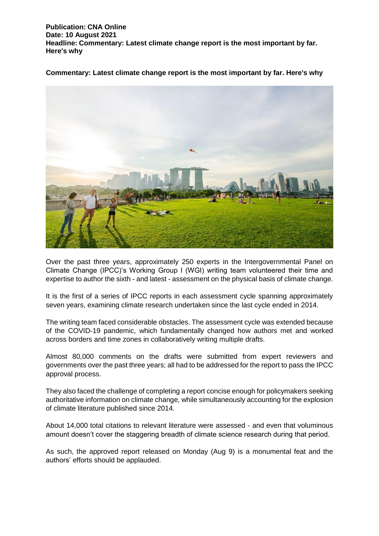**Commentary: Latest climate change report is the most important by far. Here's why**



Over the past three years, approximately 250 experts in the Intergovernmental Panel on Climate Change (IPCC)'s Working Group I (WGI) writing team volunteered their time and expertise to author the sixth - and latest - assessment on the physical basis of climate change.

It is the first of a series of IPCC reports in each assessment cycle spanning approximately seven years, examining climate research undertaken since the last cycle ended in 2014.

The writing team faced considerable obstacles. The assessment cycle was extended because of the COVID-19 pandemic, which fundamentally changed how authors met and worked across borders and time zones in collaboratively writing multiple drafts.

Almost 80,000 comments on the drafts were submitted from expert reviewers and governments over the past three years; all had to be addressed for the report to pass the IPCC approval process.

They also faced the challenge of completing a report concise enough for policymakers seeking authoritative information on climate change, while simultaneously accounting for the explosion of climate literature published since 2014.

About 14,000 total citations to relevant literature were assessed - and even that voluminous amount doesn't cover the staggering breadth of climate science research during that period.

As such, the approved report released on Monday (Aug 9) is a monumental feat and the authors' efforts should be applauded.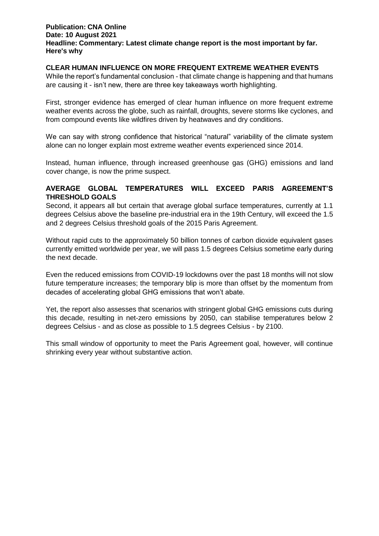# **CLEAR HUMAN INFLUENCE ON MORE FREQUENT EXTREME WEATHER EVENTS**

While the report's fundamental conclusion - that climate change is happening and that humans are causing it - isn't new, there are three key takeaways worth highlighting.

First, stronger evidence has emerged of clear human influence on more frequent extreme weather events across the globe, such as rainfall, droughts, severe storms like cyclones, and from compound events like wildfires driven by heatwaves and dry conditions.

We can say with strong confidence that historical "natural" variability of the climate system alone can no longer explain most extreme weather events experienced since 2014.

Instead, human influence, through increased greenhouse gas (GHG) emissions and land cover change, is now the prime suspect.

# **AVERAGE GLOBAL TEMPERATURES WILL EXCEED PARIS AGREEMENT'S THRESHOLD GOALS**

Second, it appears all but certain that average global surface temperatures, currently at 1.1 degrees Celsius above the baseline pre-industrial era in the 19th Century, will exceed the 1.5 and 2 degrees Celsius threshold goals of the 2015 Paris Agreement.

Without rapid cuts to the approximately 50 billion tonnes of carbon dioxide equivalent gases currently emitted worldwide per year, we will pass 1.5 degrees Celsius sometime early during the next decade.

Even the reduced emissions from COVID-19 lockdowns over the past 18 months will not slow future temperature increases; the temporary blip is more than offset by the momentum from decades of accelerating global GHG emissions that won't abate.

Yet, the report also assesses that scenarios with stringent global GHG emissions cuts during this decade, resulting in net-zero emissions by 2050, can stabilise temperatures below 2 degrees Celsius - and as close as possible to 1.5 degrees Celsius - by 2100.

This small window of opportunity to meet the Paris Agreement goal, however, will continue shrinking every year without substantive action.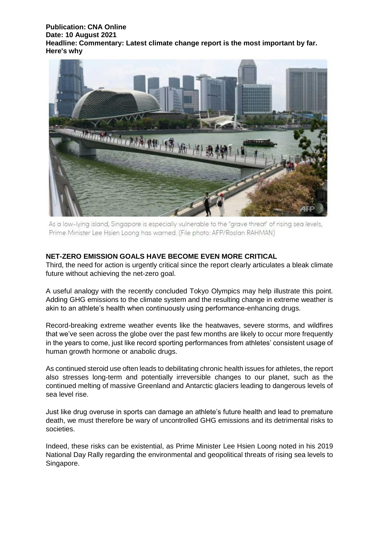

As a low-lying island, Singapore is especially vulnerable to the "grave threat" of rising sea levels, Prime Minister Lee Hsien Loong has warned. (File photo: AFP/Roslan RAHMAN)

# **NET-ZERO EMISSION GOALS HAVE BECOME EVEN MORE CRITICAL**

Third, the need for action is urgently critical since the report clearly articulates a bleak climate future without achieving the net-zero goal.

A useful analogy with the recently concluded Tokyo Olympics may help illustrate this point. Adding GHG emissions to the climate system and the resulting change in extreme weather is akin to an athlete's health when continuously using performance-enhancing drugs.

Record-breaking extreme weather events like the heatwaves, severe storms, and wildfires that we've seen across the globe over the past few months are likely to occur more frequently in the years to come, just like record sporting performances from athletes' consistent usage of human growth hormone or anabolic drugs.

As continued steroid use often leads to debilitating chronic health issues for athletes, the report also stresses long-term and potentially irreversible changes to our planet, such as the continued melting of massive Greenland and Antarctic glaciers leading to dangerous levels of sea level rise.

Just like drug overuse in sports can damage an athlete's future health and lead to premature death, we must therefore be wary of uncontrolled GHG emissions and its detrimental risks to societies.

Indeed, these risks can be existential, as Prime Minister Lee Hsien Loong noted in his 2019 National Day Rally regarding the environmental and geopolitical threats of rising sea levels to Singapore.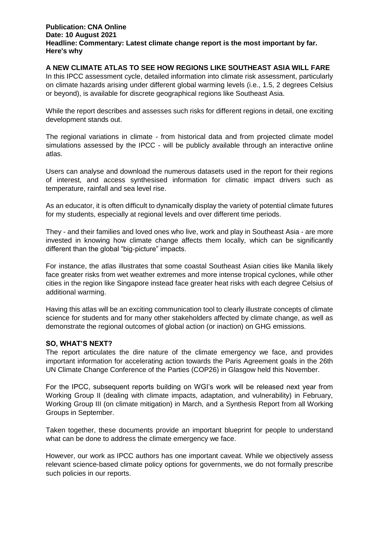# **A NEW CLIMATE ATLAS TO SEE HOW REGIONS LIKE SOUTHEAST ASIA WILL FARE**

In this IPCC assessment cycle, detailed information into climate risk assessment, particularly on climate hazards arising under different global warming levels (i.e., 1.5, 2 degrees Celsius or beyond), is available for discrete geographical regions like Southeast Asia.

While the report describes and assesses such risks for different regions in detail, one exciting development stands out.

The regional variations in climate - from historical data and from projected climate model simulations assessed by the IPCC - will be publicly available through an interactive online atlas.

Users can analyse and download the numerous datasets used in the report for their regions of interest, and access synthesised information for climatic impact drivers such as temperature, rainfall and sea level rise.

As an educator, it is often difficult to dynamically display the variety of potential climate futures for my students, especially at regional levels and over different time periods.

They - and their families and loved ones who live, work and play in Southeast Asia - are more invested in knowing how climate change affects them locally, which can be significantly different than the global "big-picture" impacts.

For instance, the atlas illustrates that some coastal Southeast Asian cities like Manila likely face greater risks from wet weather extremes and more intense tropical cyclones, while other cities in the region like Singapore instead face greater heat risks with each degree Celsius of additional warming.

Having this atlas will be an exciting communication tool to clearly illustrate concepts of climate science for students and for many other stakeholders affected by climate change, as well as demonstrate the regional outcomes of global action (or inaction) on GHG emissions.

## **SO, WHAT'S NEXT?**

The report articulates the dire nature of the climate emergency we face, and provides important information for accelerating action towards the Paris Agreement goals in the 26th UN Climate Change Conference of the Parties (COP26) in Glasgow held this November.

For the IPCC, subsequent reports building on WGI's work will be released next year from Working Group II (dealing with climate impacts, adaptation, and vulnerability) in February, Working Group III (on climate mitigation) in March, and a Synthesis Report from all Working Groups in September.

Taken together, these documents provide an important blueprint for people to understand what can be done to address the climate emergency we face.

However, our work as IPCC authors has one important caveat. While we objectively assess relevant science-based climate policy options for governments, we do not formally prescribe such policies in our reports.